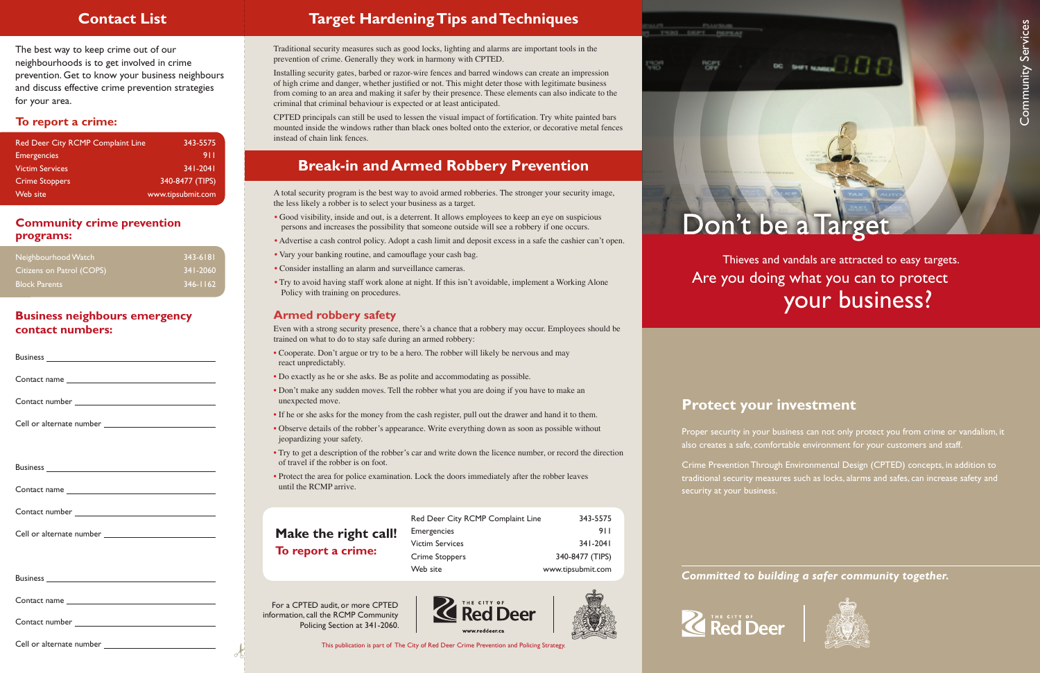# **Protect your investment**

Proper security in your business can not only protect you from crime or vandalism, it also creates a safe, comfortable environment for your customers and staff.

Crime Prevention Through Environmental Design (CPTED) concepts, in addition to traditional security measures such as locks, alarms and safes, can increase safety and

#### Committed to building a safer community together.





security at your business.



# Don't be a Target

DC SHIFT NAMES ...

Community Services

Community Services

 Thieves and vandals are attracted to easy targets. Are you doing what you can to protect your business?

The best way to keep crime out of our neighbourhoods is to get involved in crime prevention. Get to know your business neighbours and discuss effective crime prevention strategies for your area.

Traditional security measures such as good locks, lighting and alarms are important tools in the prevention of crime. Generally they work in harmony with CPTED.

Installing security gates, barbed or razor-wire fences and barred windows can create an impression of high crime and danger, whether justified or not. This might deter those with legitimate business from coming to an area and making it safer by their presence. These elements can also indicate to the criminal that criminal behaviour is expected or at least anticipated.

CPTED principals can still be used to lessen the visual impact of fortification. Try white painted bars mounted inside the windows rather than black ones bolted onto the exterior, or decorative metal fences instead of chain link fences.

# **Target Hardening Tips and Techniques**

A total security program is the best way to avoid armed robberies. The stronger your security image, the less likely a robber is to select your business as a target.

- Good visibility, inside and out, is a deterrent. It allows employees to keep an eye on suspicious persons and increases the possibility that someone outside will see a robbery if one occurs.
- Advertise a cash control policy. Adopt a cash limit and deposit excess in a safe the cashier can't open.
- Vary your banking routine, and camouflage your cash bag.
- Consider installing an alarm and surveillance cameras.
- Try to avoid having staff work alone at night. If this isn't avoidable, implement a Working Alone Policy with training on procedures.

### **Armed robbery safety**

Even with a strong security presence, there's a chance that a robbery may occur. Employees should be trained on what to do to stay safe during an armed robbery:

- Cooperate. Don't argue or try to be a hero. The robber will likely be nervous and may react unpredictably.
- Do exactly as he or she asks. Be as polite and accommodating as possible.
- Don't make any sudden moves. Tell the robber what you are doing if you have to make an unexpected move.
- If he or she asks for the money from the cash register, pull out the drawer and hand it to them.
- Observe details of the robber's appearance. Write everything down as soon as possible without jeopardizing your safety.
- Try to get a description of the robber's car and write down the licence number, or record the direction of travel if the robber is on foot.
- Protect the area for police examination. Lock the doors immediately after the robber leaves until the RCMP arrive.

# **Break-in and Armed Robbery Prevention**

# **Contact List**

#### **Community crime prevention programs:**

#### **To report a crime:**

#### **Business neighbours emergency contact numbers:**

# **Make the right call! To report a crime:**

| Red Deer City RCMP Complaint Line | 343-5575          |
|-----------------------------------|-------------------|
| <b>Emergencies</b>                | 911               |
| <b>Victim Services</b>            | $341 - 2041$      |
| Crime Stoppers                    | 340-8477 (TIPS)   |
| Web site                          | www.tipsubmit.com |

For a CPTED audit, or more CPTED information, call the RCMP Community Policing Section at 341-2060.



| Neighbourhood Watch       | 1343-6181    |
|---------------------------|--------------|
| Citizens on Patrol (COPS) | $341 - 2060$ |
| <b>Block Parents</b>      | $346 - 1162$ |

| Red Deer City RCMP Complaint Line | 343-5575          |
|-----------------------------------|-------------------|
| <b>Emergencies</b>                | 911               |
| <b>Victim Services</b>            | $341 - 2041$      |
| <b>Crime Stoppers</b>             | 340-8477 (TIPS)   |
| Web site                          | www.tipsubmit.com |

This publication is part of The City of Red Deer Crime Prevention and Policing Strategy.



TS30 DEPT REPEAT